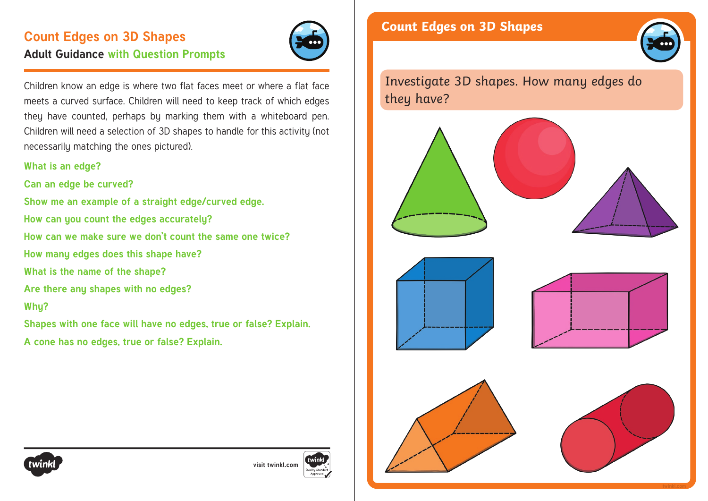# **Count Edges on 3D Shapes Count Edges on 3D Shapes Adult Guidance with Question Prompts**



Children know an edge is where two flat faces meet or where a flat face meets a curved surface. Children will need to keep track of which edges they have counted, perhaps by marking them with a whiteboard pen. Children will need a selection of 3D shapes to handle for this activity (not necessarily matching the ones pictured).

### **What is an edge?**

**Can an edge be curved?**

**Show me an example of a straight edge/curved edge.**

**How can you count the edges accurately?**

**How can we make sure we don't count the same one twice?**

**How many edges does this shape have?**

**What is the name of the shape?**

**Are there any shapes with no edges?**

**Why?**

**Shapes with one face will have no edges, true or false? Explain. A cone has no edges, true or false? Explain.**



Investigate 3D shapes. How many edges do they have?







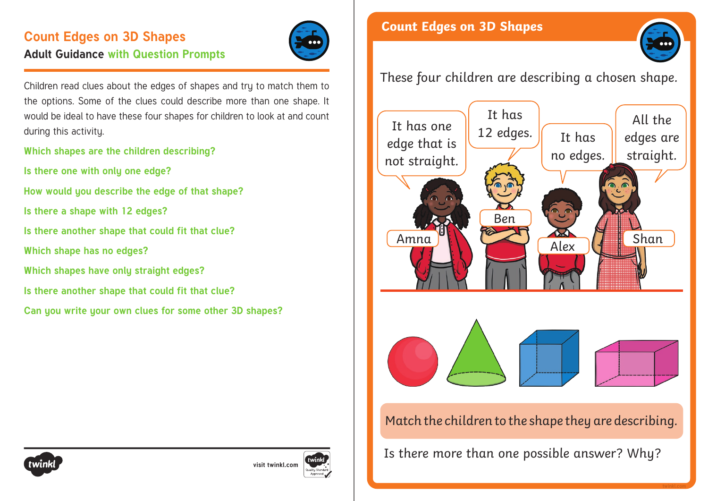## **Count Edges on 3D Shapes Adult Guidance with Question Prompts**



Children read clues about the edges of shapes and try to match them to the options. Some of the clues could describe more than one shape. It would be ideal to have these four shapes for children to look at and count during this activity.

**Which shapes are the children describing?**

**Is there one with only one edge?**

**How would you describe the edge of that shape?**

**Is there a shape with 12 edges?**

**Is there another shape that could fit that clue?**

**Which shape has no edges?**

**Which shapes have only straight edges?**

**Is there another shape that could fit that clue?**

**Can you write your own clues for some other 3D shapes?**



These four children are describing a chosen shape.





**[visit twinkl.com](https://www.twinkl.co.uk/resources/planit-maths-primary-teaching-resources-year-2/planit-maths-primary-teaching-resources-year-2-geometry---properties-of-shape/planit-maths-primary-teaching-resources-year-2-geometry---properties-of-shape-identify-and-describe-the-properties-of-3-d-shapes-including-the-number-of-edges-vertices-and-faces)**